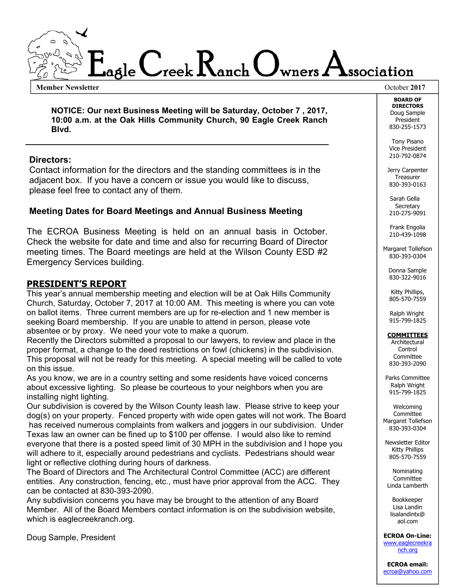

**Member Newsletter** October **2017**

**NOTICE: Our next Business Meeting will be Saturday, October 7 , 2017, 10:00 a.m. at the Oak Hills Community Church, 90 Eagle Creek Ranch Blvd.** 

#### **Directors:**

 Contact information for the directors and the standing committees is in the adjacent box. If you have a concern or issue you would like to discuss, please feel free to contact any of them.

#### **Meeting Dates for Board Meetings and Annual Business Meeting**

The ECROA Business Meeting is held on an annual basis in October. Check the website for date and time and also for recurring Board of Director meeting times. The Board meetings are held at the Wilson County ESD #2 Emergency Services building.

#### **PRESIDENT'S REPORT**

This year's annual membership meeting and election will be at Oak Hills Community Church, Saturday, October 7, 2017 at 10:00 AM. This meeting is where you can vote on ballot items. Three current members are up for re-election and 1 new member is seeking Board membership. If you are unable to attend in person, please vote absentee or by proxy. We need your vote to make a quorum.

Recently the Directors submitted a proposal to our lawyers, to review and place in the proper format, a change to the deed restrictions on fowl (chickens) in the subdivision. This proposal will not be ready for this meeting. A special meeting will be called to vote on this issue.

As you know, we are in a country setting and some residents have voiced concerns about excessive lighting. So please be courteous to your neighbors when you are installing night lighting.

Our subdivision is covered by the Wilson County leash law. Please strive to keep your dog(s) on your property. Fenced property with wide open gates will not work. The Board has received numerous complaints from walkers and joggers in our subdivision. Under Texas law an owner can be fined up to \$100 per offense. I would also like to remind everyone that there is a posted speed limit of 30 MPH in the subdivision and I hope you will adhere to it, especially around pedestrians and cyclists. Pedestrians should wear light or reflective clothing during hours of darkness.

The Board of Directors and The Architectural Control Committee (ACC) are different entities. Any construction, fencing, etc., must have prior approval from the ACC. They can be contacted at 830-393-2090.

Any subdivision concerns you have may be brought to the attention of any Board Member. All of the Board Members contact information is on the subdivision website, which is eaglecreekranch.org.

Doug Sample, President

**BOARD OF DIRECTORS**  Doug Sample President 830-255-1573

Tony Pisano Vice President 210-792-0874

Jerry Carpenter **Treasurer** 830-393-0163

 Sarah Gella Secretary 210-275-9091

Frank Engolia 210-439-1098

Margaret Tollefson 830-393-0304

> Donna Sample 830-322-9016

Kitty Phillips, 805-570-7559

 Ralph Wright 915-799-1825

#### **COMMITTEES**

**Architectural Control** Committee 830-393-2090

Parks Committee Ralph Wright 915-799-1825

Welcoming Committee Margaret Tollefson 830-393-0304

Newsletter Editor Kitty Phillips 805-570-7559

Nominating Committee Linda Lamberth

Bookkeeper Lisa Landin lisalandintx@ aol.com

**ECROA On-Line:**  www.eaglecreekra nch.org

**ECROA email:**  ecroa@yahoo.com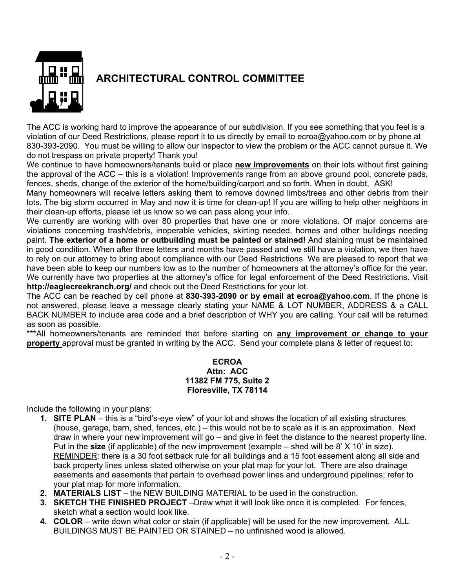

## **ARCHITECTURAL CONTROL COMMITTEE**

The ACC is working hard to improve the appearance of our subdivision. If you see something that you feel is a violation of our Deed Restrictions, please report it to us directly by email to ecroa@yahoo.com or by phone at 830-393-2090. You must be willing to allow our inspector to view the problem or the ACC cannot pursue it. We do not trespass on private property! Thank you!

We continue to have homeowners/tenants build or place **new improvements** on their lots without first gaining the approval of the ACC – this is a violation! Improvements range from an above ground pool, concrete pads, fences, sheds, change of the exterior of the home/building/carport and so forth. When in doubt, ASK!

Many homeowners will receive letters asking them to remove downed limbs/trees and other debris from their lots. The big storm occurred in May and now it is time for clean-up! If you are willing to help other neighbors in their clean-up efforts, please let us know so we can pass along your info.

We currently are working with over 80 properties that have one or more violations. Of major concerns are violations concerning trash/debris, inoperable vehicles, skirting needed, homes and other buildings needing paint. **The exterior of a home or outbuilding must be painted or stained!** And staining must be maintained in good condition. When after three letters and months have passed and we still have a violation, we then have to rely on our attorney to bring about compliance with our Deed Restrictions. We are pleased to report that we have been able to keep our numbers low as to the number of homeowners at the attorney's office for the year. We currently have two properties at the attorney's office for legal enforcement of the Deed Restrictions. Visit **http://eaglecreekranch.org/** and check out the Deed Restrictions for your lot.

The ACC can be reached by cell phone at **830-393-2090 or by email at ecroa@yahoo.com**. If the phone is not answered, please leave a message clearly stating your NAME & LOT NUMBER, ADDRESS & a CALL BACK NUMBER to include area code and a brief description of WHY you are calling. Your call will be returned as soon as possible.

\*\*\*All homeowners/tenants are reminded that before starting on **any improvement or change to your property** approval must be granted in writing by the ACC. Send your complete plans & letter of request to:

#### **ECROA Attn: ACC 11382 FM 775, Suite 2 Floresville, TX 78114**

Include the following in your plans:

- **1. SITE PLAN** this is a "bird's-eye view" of your lot and shows the location of all existing structures (house, garage, barn, shed, fences, etc.) – this would not be to scale as it is an approximation. Next draw in where your new improvement will go – and give in feet the distance to the nearest property line. Put in the **size** (if applicable) of the new improvement (example – shed will be 8' X 10' in size). REMINDER: there is a 30 foot setback rule for all buildings and a 15 foot easement along all side and back property lines unless stated otherwise on your plat map for your lot. There are also drainage easements and easements that pertain to overhead power lines and underground pipelines; refer to your plat map for more information.
- **2. MATERIALS LIST** the NEW BUILDING MATERIAL to be used in the construction.
- **3. SKETCH THE FINISHED PROJECT** –Draw what it will look like once it is completed. For fences, sketch what a section would look like.
- **4. COLOR**  write down what color or stain (if applicable) will be used for the new improvement. ALL BUILDINGS MUST BE PAINTED OR STAINED – no unfinished wood is allowed.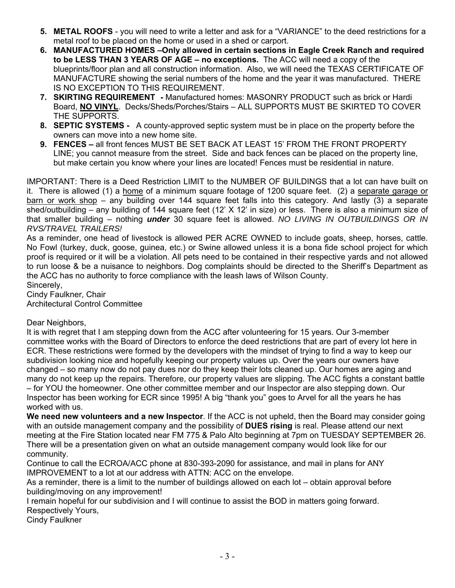- **5. METAL ROOFS**  you will need to write a letter and ask for a "VARIANCE" to the deed restrictions for a metal roof to be placed on the home or used in a shed or carport.
- **6. MANUFACTURED HOMES –Only allowed in certain sections in Eagle Creek Ranch and required to be LESS THAN 3 YEARS OF AGE – no exceptions.** The ACC will need a copy of the blueprints/floor plan and all construction information. Also, we will need the TEXAS CERTIFICATE OF MANUFACTURE showing the serial numbers of the home and the year it was manufactured. THERE IS NO EXCEPTION TO THIS REQUIREMENT.
- **7. SKIRTING REQUIREMENT -** Manufactured homes: MASONRY PRODUCT such as brick or Hardi Board, **NO VINYL**. Decks/Sheds/Porches/Stairs – ALL SUPPORTS MUST BE SKIRTED TO COVER THE SUPPORTS.
- **8. SEPTIC SYSTEMS -** A county-approved septic system must be in place on the property before the owners can move into a new home site.
- **9. FENCES –** all front fences MUST BE SET BACK AT LEAST 15' FROM THE FRONT PROPERTY LINE; you cannot measure from the street. Side and back fences can be placed on the property line, but make certain you know where your lines are located! Fences must be residential in nature.

IMPORTANT: There is a Deed Restriction LIMIT to the NUMBER OF BUILDINGS that a lot can have built on it. There is allowed (1) a home of a minimum square footage of 1200 square feet. (2) a separate garage or barn or work shop – any building over 144 square feet falls into this category. And lastly (3) a separate shed/outbuilding – any building of 144 square feet (12' X 12' in size) or less. There is also a minimum size of that smaller building – nothing *under* 30 square feet is allowed. *NO LIVING IN OUTBUILDINGS OR IN RVS/TRAVEL TRAILERS!* 

As a reminder, one head of livestock is allowed PER ACRE OWNED to include goats, sheep, horses, cattle. No Fowl (turkey, duck, goose, guinea, etc.) or Swine allowed unless it is a bona fide school project for which proof is required or it will be a violation. All pets need to be contained in their respective yards and not allowed to run loose & be a nuisance to neighbors. Dog complaints should be directed to the Sheriff's Department as the ACC has no authority to force compliance with the leash laws of Wilson County. Sincerely,

Cindy Faulkner, Chair Architectural Control Committee

Dear Neighbors,

It is with regret that I am stepping down from the ACC after volunteering for 15 years. Our 3-member committee works with the Board of Directors to enforce the deed restrictions that are part of every lot here in ECR. These restrictions were formed by the developers with the mindset of trying to find a way to keep our subdivision looking nice and hopefully keeping our property values up. Over the years our owners have changed – so many now do not pay dues nor do they keep their lots cleaned up. Our homes are aging and many do not keep up the repairs. Therefore, our property values are slipping. The ACC fights a constant battle – for YOU the homeowner. One other committee member and our Inspector are also stepping down. Our Inspector has been working for ECR since 1995! A big "thank you" goes to Arvel for all the years he has worked with us.

**We need new volunteers and a new Inspector**. If the ACC is not upheld, then the Board may consider going with an outside management company and the possibility of **DUES rising** is real. Please attend our next meeting at the Fire Station located near FM 775 & Palo Alto beginning at 7pm on TUESDAY SEPTEMBER 26. There will be a presentation given on what an outside management company would look like for our community.

Continue to call the ECROA/ACC phone at 830-393-2090 for assistance, and mail in plans for ANY IMPROVEMENT to a lot at our address with ATTN: ACC on the envelope.

As a reminder, there is a limit to the number of buildings allowed on each lot – obtain approval before building/moving on any improvement!

I remain hopeful for our subdivision and I will continue to assist the BOD in matters going forward. Respectively Yours,

Cindy Faulkner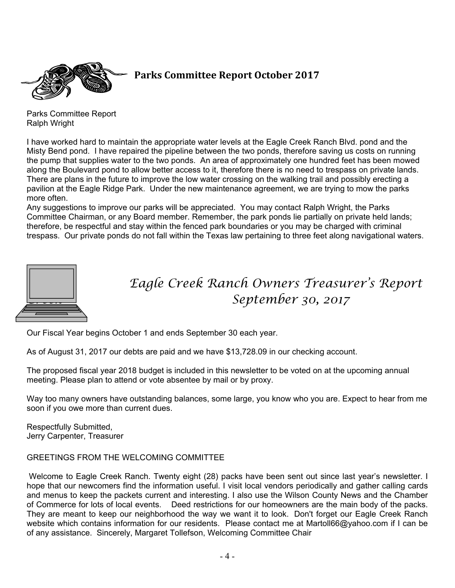

## **Parks Committee Report October 2017**

Parks Committee Report Ralph Wright

I have worked hard to maintain the appropriate water levels at the Eagle Creek Ranch Blvd. pond and the Misty Bend pond. I have repaired the pipeline between the two ponds, therefore saving us costs on running the pump that supplies water to the two ponds. An area of approximately one hundred feet has been mowed along the Boulevard pond to allow better access to it, therefore there is no need to trespass on private lands. There are plans in the future to improve the low water crossing on the walking trail and possibly erecting a pavilion at the Eagle Ridge Park. Under the new maintenance agreement, we are trying to mow the parks more often.

Any suggestions to improve our parks will be appreciated. You may contact Ralph Wright, the Parks Committee Chairman, or any Board member. Remember, the park ponds lie partially on private held lands; therefore, be respectful and stay within the fenced park boundaries or you may be charged with criminal trespass. Our private ponds do not fall within the Texas law pertaining to three feet along navigational waters.



*Creek Eagle Creek Ranch Owners Treasurer's Report Creek September 30, 2017*

Our Fiscal Year begins October 1 and ends September 30 each year.

As of August 31, 2017 our debts are paid and we have \$13,728.09 in our checking account.

The proposed fiscal year 2018 budget is included in this newsletter to be voted on at the upcoming annual meeting. Please plan to attend or vote absentee by mail or by proxy.

Way too many owners have outstanding balances, some large, you know who you are. Expect to hear from me soon if you owe more than current dues.

Respectfully Submitted, Jerry Carpenter, Treasurer

#### GREETINGS FROM THE WELCOMING COMMITTEE

 Welcome to Eagle Creek Ranch. Twenty eight (28) packs have been sent out since last year's newsletter. I hope that our newcomers find the information useful. I visit local vendors periodically and gather calling cards and menus to keep the packets current and interesting. I also use the Wilson County News and the Chamber of Commerce for lots of local events. Deed restrictions for our homeowners are the main body of the packs. They are meant to keep our neighborhood the way we want it to look. Don't forget our Eagle Creek Ranch website which contains information for our residents. Please contact me at Martoll66@yahoo.com if I can be of any assistance. Sincerely, Margaret Tollefson, Welcoming Committee Chair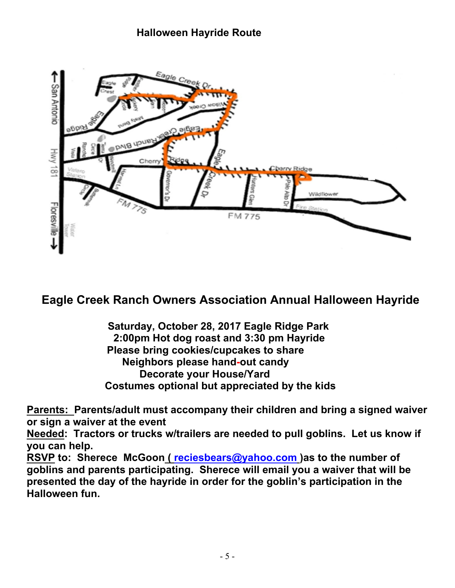## **Halloween Hayride Route**



# **Eagle Creek Ranch Owners Association Annual Halloween Hayride**

 **Saturday, October 28, 2017 Eagle Ridge Park 2:00pm Hot dog roast and 3:30 pm Hayride Please bring cookies/cupcakes to share Neighbors please hand-out candy Decorate your House/Yard Costumes optional but appreciated by the kids** 

**Parents: Parents/adult must accompany their children and bring a signed waiver or sign a waiver at the event** 

**Needed: Tractors or trucks w/trailers are needed to pull goblins. Let us know if you can help.** 

**RSVP to: Sherece McGoon ( reciesbears@yahoo.com )as to the number of goblins and parents participating. Sherece will email you a waiver that will be presented the day of the hayride in order for the goblin's participation in the Halloween fun.**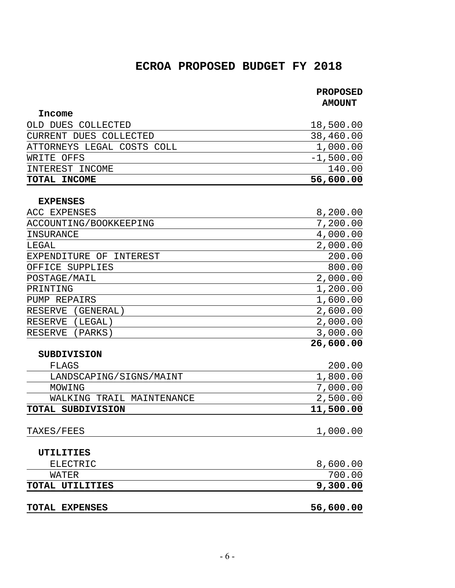## **ECROA PROPOSED BUDGET FY 2018**

# **PROPOSED**

 **AMOUNT** 

| Income                     |             |
|----------------------------|-------------|
| OLD DUES COLLECTED         | 18,500.00   |
| CURRENT DUES COLLECTED     | 38,460.00   |
| ATTORNEYS LEGAL COSTS COLL | 1,000.00    |
| WRITE OFFS                 | $-1,500.00$ |
| INTEREST INCOME            | 140.00      |
| TOTAL INCOME               | 56,600.00   |

#### **EXPENSES**

| ACC EXPENSES                | 8,200.00  |
|-----------------------------|-----------|
| ACCOUNTING/BOOKKEEPING      | 7,200.00  |
| INSURANCE                   | 4,000.00  |
| LEGAL                       | 2,000.00  |
| EXPENDITURE OF INTEREST     | 200.00    |
| OFFICE SUPPLIES             | 800.00    |
| POSTAGE/MAIL                | 2,000.00  |
| PRINTING                    | 1,200.00  |
| PUMP REPAIRS                | 1,600.00  |
| <b>RESERVE</b><br>(GENERAL) | 2,600.00  |
| <b>RESERVE</b><br>(LEGAL)   | 2,000.00  |
| RESERVE (PARKS)             | 3,000.00  |
|                             | 26,600.00 |
| <b>SUBDIVISION</b>          |           |
| FLAGS                       | 200.00    |
| LANDSCAPING/SIGNS/MAINT     | 1,800.00  |
| MOWING                      | 7,000.00  |
| WALKING TRAIL MAINTENANCE   | 2,500.00  |
| TOTAL SUBDIVISION           | 11,500.00 |
|                             |           |
| TAXES/FEES                  | 1,000.00  |
|                             |           |
| <b>UTILITIES</b>            |           |
| <b>ELECTRIC</b>             | 8,600.00  |
| <b>WATER</b>                | 700.00    |
| TOTAL UTILITIES             | 9,300.00  |
|                             |           |
| <b>TOTAL EXPENSES</b>       | 56,600.00 |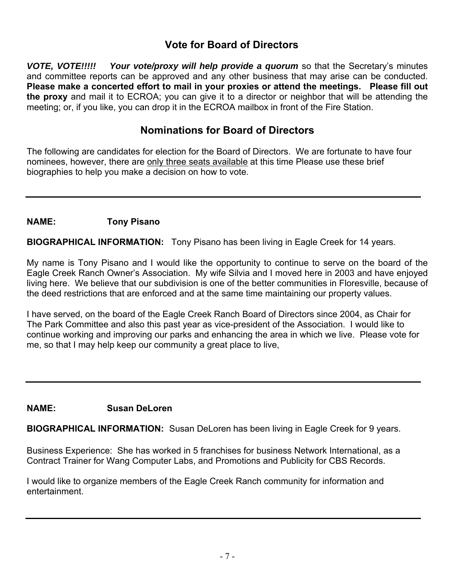## **Vote for Board of Directors**

*VOTE, VOTE!!!!! Your vote/proxy will help provide a quorum* so that the Secretary's minutes and committee reports can be approved and any other business that may arise can be conducted. **Please make a concerted effort to mail in your proxies or attend the meetings. Please fill out the proxy** and mail it to ECROA; you can give it to a director or neighbor that will be attending the meeting; or, if you like, you can drop it in the ECROA mailbox in front of the Fire Station.

## **Nominations for Board of Directors**

The following are candidates for election for the Board of Directors. We are fortunate to have four nominees, however, there are only three seats available at this time Please use these brief biographies to help you make a decision on how to vote.

## **NAME: Tony Pisano**

**BIOGRAPHICAL INFORMATION:** Tony Pisano has been living in Eagle Creek for 14 years.

My name is Tony Pisano and I would like the opportunity to continue to serve on the board of the Eagle Creek Ranch Owner's Association. My wife Silvia and I moved here in 2003 and have enjoyed living here. We believe that our subdivision is one of the better communities in Floresville, because of the deed restrictions that are enforced and at the same time maintaining our property values.

I have served, on the board of the Eagle Creek Ranch Board of Directors since 2004, as Chair for The Park Committee and also this past year as vice-president of the Association. I would like to continue working and improving our parks and enhancing the area in which we live. Please vote for me, so that I may help keep our community a great place to live,

## **NAME: Susan DeLoren**

**BIOGRAPHICAL INFORMATION:** Susan DeLoren has been living in Eagle Creek for 9 years.

Business Experience: She has worked in 5 franchises for business Network International, as a Contract Trainer for Wang Computer Labs, and Promotions and Publicity for CBS Records.

I would like to organize members of the Eagle Creek Ranch community for information and entertainment.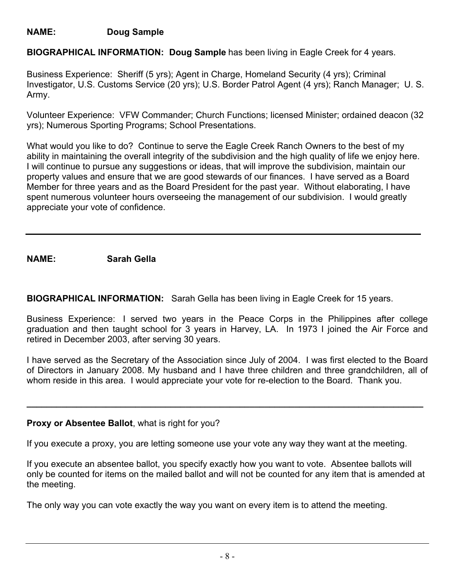## **NAME: Doug Sample**

**BIOGRAPHICAL INFORMATION: Doug Sample** has been living in Eagle Creek for 4 years.

Business Experience: Sheriff (5 yrs); Agent in Charge, Homeland Security (4 yrs); Criminal Investigator, U.S. Customs Service (20 yrs); U.S. Border Patrol Agent (4 yrs); Ranch Manager; U. S. Army.

Volunteer Experience: VFW Commander; Church Functions; licensed Minister; ordained deacon (32 yrs); Numerous Sporting Programs; School Presentations.

What would you like to do? Continue to serve the Eagle Creek Ranch Owners to the best of my ability in maintaining the overall integrity of the subdivision and the high quality of life we enjoy here. I will continue to pursue any suggestions or ideas, that will improve the subdivision, maintain our property values and ensure that we are good stewards of our finances. I have served as a Board Member for three years and as the Board President for the past year. Without elaborating, I have spent numerous volunteer hours overseeing the management of our subdivision. I would greatly appreciate your vote of confidence.

## **NAME: Sarah Gella**

**BIOGRAPHICAL INFORMATION:** Sarah Gella has been living in Eagle Creek for 15 years.

Business Experience: I served two years in the Peace Corps in the Philippines after college graduation and then taught school for 3 years in Harvey, LA. In 1973 I joined the Air Force and retired in December 2003, after serving 30 years.

I have served as the Secretary of the Association since July of 2004. I was first elected to the Board of Directors in January 2008. My husband and I have three children and three grandchildren, all of whom reside in this area. I would appreciate your vote for re-election to the Board. Thank you.

**\_\_\_\_\_\_\_\_\_\_\_\_\_\_\_\_\_\_\_\_\_\_\_\_\_\_\_\_\_\_\_\_\_\_\_\_\_\_\_\_\_\_\_\_\_\_\_\_\_\_\_\_\_\_\_\_\_\_\_\_\_\_\_\_\_\_\_\_\_\_\_\_\_\_\_\_\_\_\_\_** 

## **Proxy or Absentee Ballot**, what is right for you?

If you execute a proxy, you are letting someone use your vote any way they want at the meeting.

If you execute an absentee ballot, you specify exactly how you want to vote. Absentee ballots will only be counted for items on the mailed ballot and will not be counted for any item that is amended at the meeting.

The only way you can vote exactly the way you want on every item is to attend the meeting.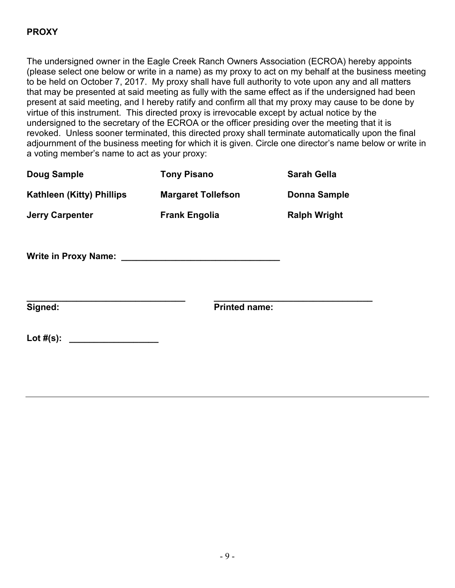## **PROXY**

The undersigned owner in the Eagle Creek Ranch Owners Association (ECROA) hereby appoints (please select one below or write in a name) as my proxy to act on my behalf at the business meeting to be held on October 7, 2017. My proxy shall have full authority to vote upon any and all matters that may be presented at said meeting as fully with the same effect as if the undersigned had been present at said meeting, and I hereby ratify and confirm all that my proxy may cause to be done by virtue of this instrument. This directed proxy is irrevocable except by actual notice by the undersigned to the secretary of the ECROA or the officer presiding over the meeting that it is revoked. Unless sooner terminated, this directed proxy shall terminate automatically upon the final adjournment of the business meeting for which it is given. Circle one director's name below or write in a voting member's name to act as your proxy:

| <b>Doug Sample</b>               | <b>Tony Pisano</b>        | <b>Sarah Gella</b>  |  |
|----------------------------------|---------------------------|---------------------|--|
| <b>Kathleen (Kitty) Phillips</b> | <b>Margaret Tollefson</b> | <b>Donna Sample</b> |  |
| <b>Jerry Carpenter</b>           | <b>Frank Engolia</b>      | <b>Ralph Wright</b> |  |
|                                  |                           |                     |  |
| Signed:                          | <b>Printed name:</b>      |                     |  |
|                                  |                           |                     |  |
|                                  |                           |                     |  |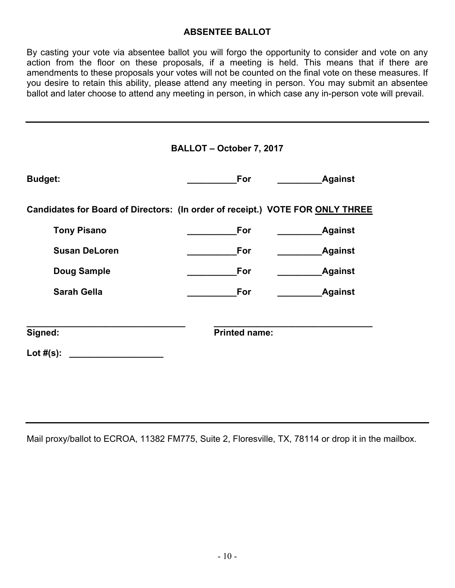## **ABSENTEE BALLOT**

By casting your vote via absentee ballot you will forgo the opportunity to consider and vote on any action from the floor on these proposals, if a meeting is held. This means that if there are amendments to these proposals your votes will not be counted on the final vote on these measures. If you desire to retain this ability, please attend any meeting in person. You may submit an absentee ballot and later choose to attend any meeting in person, in which case any in-person vote will prevail.

| BALLOT - October 7, 2017                                                      |                      |                |  |  |
|-------------------------------------------------------------------------------|----------------------|----------------|--|--|
| <b>Budget:</b>                                                                | For                  | <b>Against</b> |  |  |
| Candidates for Board of Directors: (In order of receipt.) VOTE FOR ONLY THREE |                      |                |  |  |
| <b>Tony Pisano</b>                                                            | For                  | <b>Against</b> |  |  |
| <b>Susan DeLoren</b>                                                          | For                  | <b>Against</b> |  |  |
| <b>Doug Sample</b>                                                            | For                  | <b>Against</b> |  |  |
| <b>Sarah Gella</b>                                                            | For                  | <b>Against</b> |  |  |
| Signed:                                                                       | <b>Printed name:</b> |                |  |  |
| Lot $#(s)$ :                                                                  |                      |                |  |  |

Mail proxy/ballot to ECROA, 11382 FM775, Suite 2, Floresville, TX, 78114 or drop it in the mailbox.